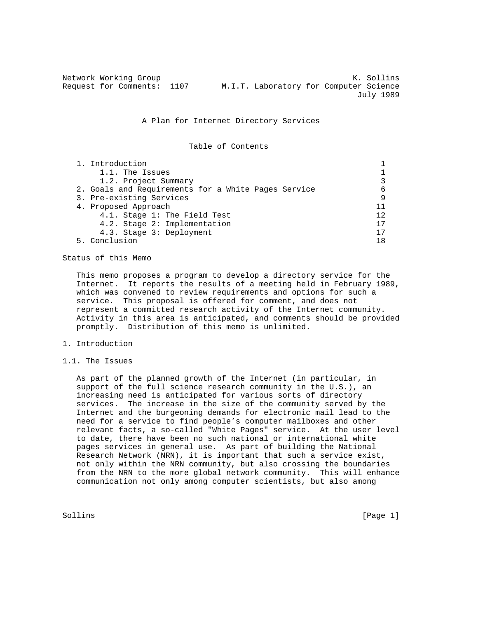| Network Working Group |                            |  |  |  |                                        | K. Sollins |           |  |  |
|-----------------------|----------------------------|--|--|--|----------------------------------------|------------|-----------|--|--|
|                       | Request for Comments: 1107 |  |  |  | M.I.T. Laboratory for Computer Science |            |           |  |  |
|                       |                            |  |  |  |                                        |            | July 1989 |  |  |

#### A Plan for Internet Directory Services

Table of Contents

| 1. Introduction                                     |    |
|-----------------------------------------------------|----|
| 1.1. The Issues                                     |    |
| 1.2. Project Summary                                |    |
| 2. Goals and Requirements for a White Pages Service | 6  |
| 3. Pre-existing Services                            | 9  |
| 4. Proposed Approach                                | 11 |
| 4.1. Stage 1: The Field Test                        | 12 |
| 4.2. Stage 2: Implementation                        | 17 |
| 4.3. Stage 3: Deployment                            |    |
| 5. Conclusion                                       | 18 |

Status of this Memo

 This memo proposes a program to develop a directory service for the Internet. It reports the results of a meeting held in February 1989, which was convened to review requirements and options for such a service. This proposal is offered for comment, and does not represent a committed research activity of the Internet community. Activity in this area is anticipated, and comments should be provided promptly. Distribution of this memo is unlimited.

## 1. Introduction

## 1.1. The Issues

 As part of the planned growth of the Internet (in particular, in support of the full science research community in the U.S.), an increasing need is anticipated for various sorts of directory services. The increase in the size of the community served by the Internet and the burgeoning demands for electronic mail lead to the need for a service to find people's computer mailboxes and other relevant facts, a so-called "White Pages" service. At the user level to date, there have been no such national or international white pages services in general use. As part of building the National Research Network (NRN), it is important that such a service exist, not only within the NRN community, but also crossing the boundaries from the NRN to the more global network community. This will enhance communication not only among computer scientists, but also among

Sollins [Page 1] Solling [Page 1] Solling [Page 1] Solling [Page 1] Solling [Page 1] Solling [Page 1] Solling  $[2, 3]$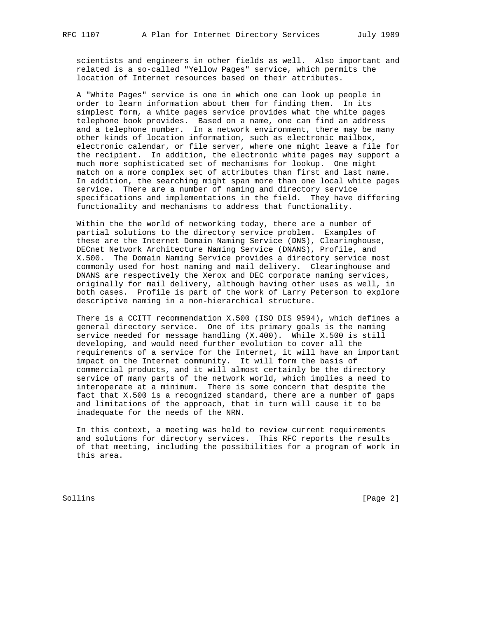scientists and engineers in other fields as well. Also important and related is a so-called "Yellow Pages" service, which permits the location of Internet resources based on their attributes.

 A "White Pages" service is one in which one can look up people in order to learn information about them for finding them. In its simplest form, a white pages service provides what the white pages telephone book provides. Based on a name, one can find an address and a telephone number. In a network environment, there may be many other kinds of location information, such as electronic mailbox, electronic calendar, or file server, where one might leave a file for the recipient. In addition, the electronic white pages may support a much more sophisticated set of mechanisms for lookup. One might match on a more complex set of attributes than first and last name. In addition, the searching might span more than one local white pages service. There are a number of naming and directory service specifications and implementations in the field. They have differing functionality and mechanisms to address that functionality.

 Within the the world of networking today, there are a number of partial solutions to the directory service problem. Examples of these are the Internet Domain Naming Service (DNS), Clearinghouse, DECnet Network Architecture Naming Service (DNANS), Profile, and X.500. The Domain Naming Service provides a directory service most commonly used for host naming and mail delivery. Clearinghouse and DNANS are respectively the Xerox and DEC corporate naming services, originally for mail delivery, although having other uses as well, in both cases. Profile is part of the work of Larry Peterson to explore descriptive naming in a non-hierarchical structure.

 There is a CCITT recommendation X.500 (ISO DIS 9594), which defines a general directory service. One of its primary goals is the naming service needed for message handling (X.400). While X.500 is still developing, and would need further evolution to cover all the requirements of a service for the Internet, it will have an important impact on the Internet community. It will form the basis of commercial products, and it will almost certainly be the directory service of many parts of the network world, which implies a need to interoperate at a minimum. There is some concern that despite the fact that X.500 is a recognized standard, there are a number of gaps and limitations of the approach, that in turn will cause it to be inadequate for the needs of the NRN.

 In this context, a meeting was held to review current requirements and solutions for directory services. This RFC reports the results of that meeting, including the possibilities for a program of work in this area.

Sollins [Page 2]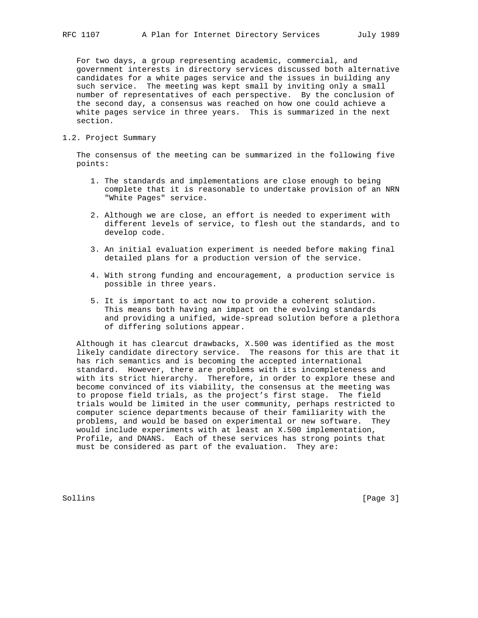For two days, a group representing academic, commercial, and government interests in directory services discussed both alternative candidates for a white pages service and the issues in building any such service. The meeting was kept small by inviting only a small number of representatives of each perspective. By the conclusion of the second day, a consensus was reached on how one could achieve a white pages service in three years. This is summarized in the next section.

# 1.2. Project Summary

 The consensus of the meeting can be summarized in the following five points:

- 1. The standards and implementations are close enough to being complete that it is reasonable to undertake provision of an NRN "White Pages" service.
- 2. Although we are close, an effort is needed to experiment with different levels of service, to flesh out the standards, and to develop code.
- 3. An initial evaluation experiment is needed before making final detailed plans for a production version of the service.
- 4. With strong funding and encouragement, a production service is possible in three years.
- 5. It is important to act now to provide a coherent solution. This means both having an impact on the evolving standards and providing a unified, wide-spread solution before a plethora of differing solutions appear.

 Although it has clearcut drawbacks, X.500 was identified as the most likely candidate directory service. The reasons for this are that it has rich semantics and is becoming the accepted international standard. However, there are problems with its incompleteness and with its strict hierarchy. Therefore, in order to explore these and become convinced of its viability, the consensus at the meeting was to propose field trials, as the project's first stage. The field trials would be limited in the user community, perhaps restricted to computer science departments because of their familiarity with the problems, and would be based on experimental or new software. They would include experiments with at least an X.500 implementation, Profile, and DNANS. Each of these services has strong points that must be considered as part of the evaluation. They are:

Sollins [Page 3]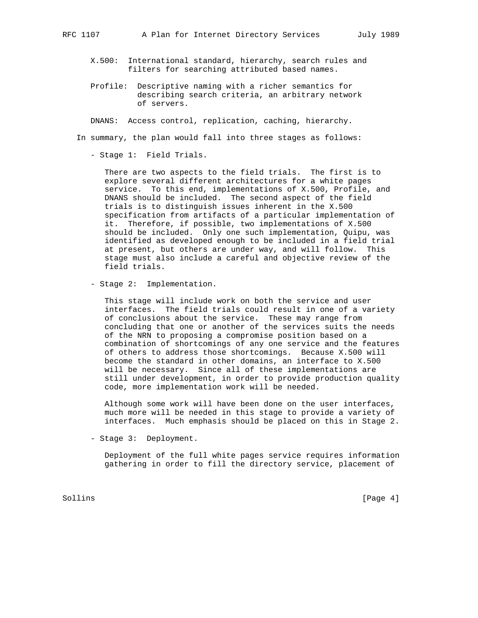- X.500: International standard, hierarchy, search rules and filters for searching attributed based names.
- Profile: Descriptive naming with a richer semantics for describing search criteria, an arbitrary network of servers.

DNANS: Access control, replication, caching, hierarchy.

In summary, the plan would fall into three stages as follows:

- Stage 1: Field Trials.

 There are two aspects to the field trials. The first is to explore several different architectures for a white pages service. To this end, implementations of X.500, Profile, and DNANS should be included. The second aspect of the field trials is to distinguish issues inherent in the X.500 specification from artifacts of a particular implementation of it. Therefore, if possible, two implementations of X.500 should be included. Only one such implementation, Quipu, was identified as developed enough to be included in a field trial at present, but others are under way, and will follow. This stage must also include a careful and objective review of the field trials.

- Stage 2: Implementation.

 This stage will include work on both the service and user interfaces. The field trials could result in one of a variety of conclusions about the service. These may range from concluding that one or another of the services suits the needs of the NRN to proposing a compromise position based on a combination of shortcomings of any one service and the features of others to address those shortcomings. Because X.500 will become the standard in other domains, an interface to X.500 will be necessary. Since all of these implementations are still under development, in order to provide production quality code, more implementation work will be needed.

 Although some work will have been done on the user interfaces, much more will be needed in this stage to provide a variety of interfaces. Much emphasis should be placed on this in Stage 2.

- Stage 3: Deployment.

 Deployment of the full white pages service requires information gathering in order to fill the directory service, placement of

Sollins [Page 4]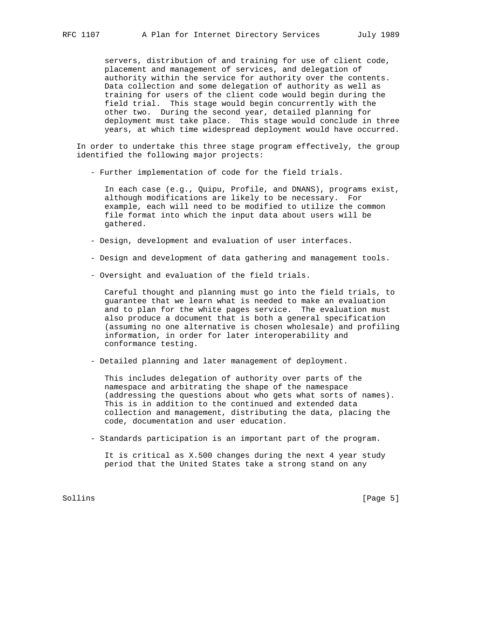servers, distribution of and training for use of client code, placement and management of services, and delegation of authority within the service for authority over the contents. Data collection and some delegation of authority as well as training for users of the client code would begin during the field trial. This stage would begin concurrently with the other two. During the second year, detailed planning for deployment must take place. This stage would conclude in three years, at which time widespread deployment would have occurred.

 In order to undertake this three stage program effectively, the group identified the following major projects:

- Further implementation of code for the field trials.

 In each case (e.g., Quipu, Profile, and DNANS), programs exist, although modifications are likely to be necessary. For example, each will need to be modified to utilize the common file format into which the input data about users will be gathered.

- Design, development and evaluation of user interfaces.
- Design and development of data gathering and management tools.
- Oversight and evaluation of the field trials.

 Careful thought and planning must go into the field trials, to guarantee that we learn what is needed to make an evaluation and to plan for the white pages service. The evaluation must also produce a document that is both a general specification (assuming no one alternative is chosen wholesale) and profiling information, in order for later interoperability and conformance testing.

- Detailed planning and later management of deployment.

 This includes delegation of authority over parts of the namespace and arbitrating the shape of the namespace (addressing the questions about who gets what sorts of names). This is in addition to the continued and extended data collection and management, distributing the data, placing the code, documentation and user education.

- Standards participation is an important part of the program.

 It is critical as X.500 changes during the next 4 year study period that the United States take a strong stand on any

Sollins [Page 5]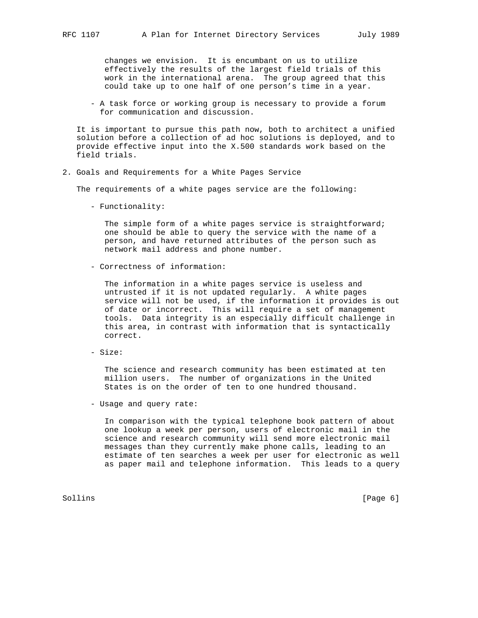changes we envision. It is encumbant on us to utilize effectively the results of the largest field trials of this work in the international arena. The group agreed that this could take up to one half of one person's time in a year.

 - A task force or working group is necessary to provide a forum for communication and discussion.

 It is important to pursue this path now, both to architect a unified solution before a collection of ad hoc solutions is deployed, and to provide effective input into the X.500 standards work based on the field trials.

2. Goals and Requirements for a White Pages Service

The requirements of a white pages service are the following:

- Functionality:

The simple form of a white pages service is straightforward; one should be able to query the service with the name of a person, and have returned attributes of the person such as network mail address and phone number.

- Correctness of information:

 The information in a white pages service is useless and untrusted if it is not updated regularly. A white pages service will not be used, if the information it provides is out of date or incorrect. This will require a set of management tools. Data integrity is an especially difficult challenge in this area, in contrast with information that is syntactically correct.

- Size:

 The science and research community has been estimated at ten million users. The number of organizations in the United States is on the order of ten to one hundred thousand.

- Usage and query rate:

 In comparison with the typical telephone book pattern of about one lookup a week per person, users of electronic mail in the science and research community will send more electronic mail messages than they currently make phone calls, leading to an estimate of ten searches a week per user for electronic as well as paper mail and telephone information. This leads to a query

Sollins [Page 6] [Page 6] [Page 6] [Page 6] [Page 6] [Page 6] [Page 6] [Page 6] [Page 6] [Page 6] [Page 6] [Page 6] [Page 6] [Page 6] [Page 6] [Page 6] [Page 6] [Page 6] [Page 6] [Page 6] [Page 6] [Page 6] [Page 6] [Page 6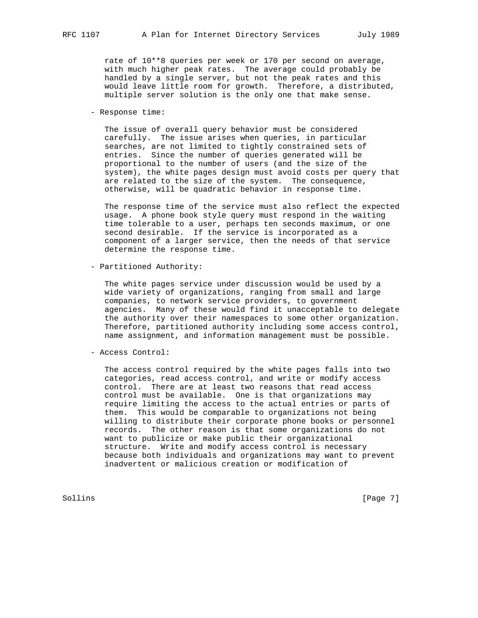rate of 10\*\*8 queries per week or 170 per second on average, with much higher peak rates. The average could probably be handled by a single server, but not the peak rates and this would leave little room for growth. Therefore, a distributed, multiple server solution is the only one that make sense.

- Response time:

 The issue of overall query behavior must be considered carefully. The issue arises when queries, in particular searches, are not limited to tightly constrained sets of entries. Since the number of queries generated will be proportional to the number of users (and the size of the system), the white pages design must avoid costs per query that are related to the size of the system. The consequence, otherwise, will be quadratic behavior in response time.

 The response time of the service must also reflect the expected usage. A phone book style query must respond in the waiting time tolerable to a user, perhaps ten seconds maximum, or one second desirable. If the service is incorporated as a component of a larger service, then the needs of that service determine the response time.

- Partitioned Authority:

 The white pages service under discussion would be used by a wide variety of organizations, ranging from small and large companies, to network service providers, to government agencies. Many of these would find it unacceptable to delegate the authority over their namespaces to some other organization. Therefore, partitioned authority including some access control, name assignment, and information management must be possible.

- Access Control:

 The access control required by the white pages falls into two categories, read access control, and write or modify access control. There are at least two reasons that read access control must be available. One is that organizations may require limiting the access to the actual entries or parts of them. This would be comparable to organizations not being willing to distribute their corporate phone books or personnel records. The other reason is that some organizations do not want to publicize or make public their organizational structure. Write and modify access control is necessary because both individuals and organizations may want to prevent inadvertent or malicious creation or modification of

Sollins [Page 7] [Page 7] [Page 7] [Page 7] [Page 7] [Page 7] [Page 7] [Page 7] [Page 7] [Page 7] [Page 7] [Page 7] [Page 7] [Page 7] [Page 7] [Page 7] [Page 7] [Page 7] [Page 7] [Page 7] [Page 7] [Page 7] [Page 7] [Page 7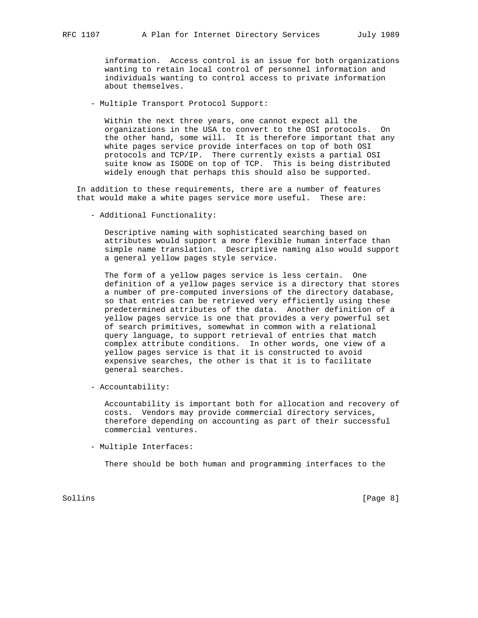information. Access control is an issue for both organizations wanting to retain local control of personnel information and individuals wanting to control access to private information about themselves.

- Multiple Transport Protocol Support:

 Within the next three years, one cannot expect all the organizations in the USA to convert to the OSI protocols. On the other hand, some will. It is therefore important that any white pages service provide interfaces on top of both OSI protocols and TCP/IP. There currently exists a partial OSI suite know as ISODE on top of TCP. This is being distributed widely enough that perhaps this should also be supported.

 In addition to these requirements, there are a number of features that would make a white pages service more useful. These are:

- Additional Functionality:

 Descriptive naming with sophisticated searching based on attributes would support a more flexible human interface than simple name translation. Descriptive naming also would support a general yellow pages style service.

 The form of a yellow pages service is less certain. One definition of a yellow pages service is a directory that stores a number of pre-computed inversions of the directory database, so that entries can be retrieved very efficiently using these predetermined attributes of the data. Another definition of a yellow pages service is one that provides a very powerful set of search primitives, somewhat in common with a relational query language, to support retrieval of entries that match complex attribute conditions. In other words, one view of a yellow pages service is that it is constructed to avoid expensive searches, the other is that it is to facilitate general searches.

- Accountability:

 Accountability is important both for allocation and recovery of costs. Vendors may provide commercial directory services, therefore depending on accounting as part of their successful commercial ventures.

- Multiple Interfaces:

There should be both human and programming interfaces to the

Sollins [Page 8]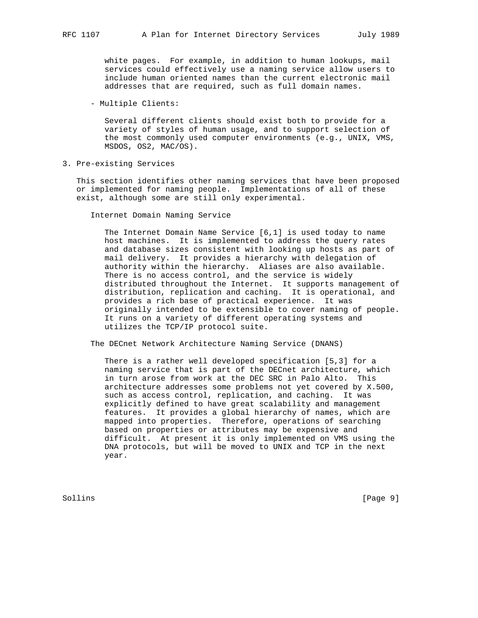white pages. For example, in addition to human lookups, mail services could effectively use a naming service allow users to include human oriented names than the current electronic mail addresses that are required, such as full domain names.

- Multiple Clients:

 Several different clients should exist both to provide for a variety of styles of human usage, and to support selection of the most commonly used computer environments (e.g., UNIX, VMS, MSDOS, OS2, MAC/OS).

3. Pre-existing Services

 This section identifies other naming services that have been proposed or implemented for naming people. Implementations of all of these exist, although some are still only experimental.

Internet Domain Naming Service

 The Internet Domain Name Service [6,1] is used today to name host machines. It is implemented to address the query rates and database sizes consistent with looking up hosts as part of mail delivery. It provides a hierarchy with delegation of authority within the hierarchy. Aliases are also available. There is no access control, and the service is widely distributed throughout the Internet. It supports management of distribution, replication and caching. It is operational, and provides a rich base of practical experience. It was originally intended to be extensible to cover naming of people. It runs on a variety of different operating systems and utilizes the TCP/IP protocol suite.

The DECnet Network Architecture Naming Service (DNANS)

 There is a rather well developed specification [5,3] for a naming service that is part of the DECnet architecture, which in turn arose from work at the DEC SRC in Palo Alto. This architecture addresses some problems not yet covered by X.500, such as access control, replication, and caching. It was explicitly defined to have great scalability and management features. It provides a global hierarchy of names, which are mapped into properties. Therefore, operations of searching based on properties or attributes may be expensive and difficult. At present it is only implemented on VMS using the DNA protocols, but will be moved to UNIX and TCP in the next year.

Sollins [Page 9] [Page 9] [Page 9] [Page 9] [Page 9] [Page 9] [Page 9] [Page 9] [Page 9] [Page 9] [Page 9] [Page 9] [Page 9] [Page 9] [Page 9] [Page 9] [Page 9] [Page 9] [Page 9] [Page 9] [Page 9] [Page 9] [Page 9] [Page 9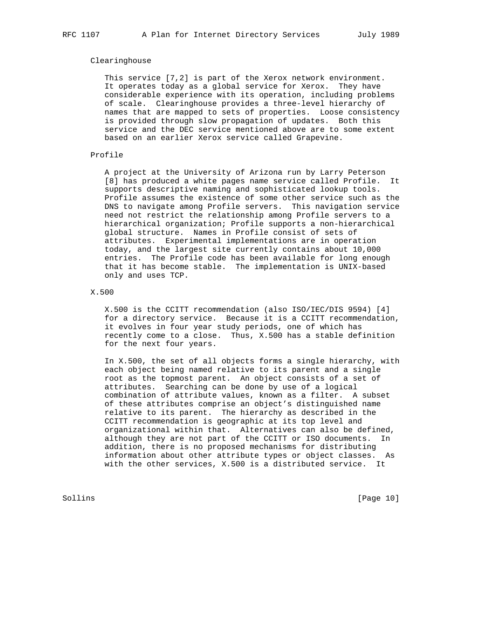## Clearinghouse

 This service [7,2] is part of the Xerox network environment. It operates today as a global service for Xerox. They have considerable experience with its operation, including problems of scale. Clearinghouse provides a three-level hierarchy of names that are mapped to sets of properties. Loose consistency is provided through slow propagation of updates. Both this service and the DEC service mentioned above are to some extent based on an earlier Xerox service called Grapevine.

# Profile

 A project at the University of Arizona run by Larry Peterson [8] has produced a white pages name service called Profile. It supports descriptive naming and sophisticated lookup tools. Profile assumes the existence of some other service such as the DNS to navigate among Profile servers. This navigation service need not restrict the relationship among Profile servers to a hierarchical organization; Profile supports a non-hierarchical global structure. Names in Profile consist of sets of attributes. Experimental implementations are in operation today, and the largest site currently contains about 10,000 entries. The Profile code has been available for long enough that it has become stable. The implementation is UNIX-based only and uses TCP.

## X.500

 X.500 is the CCITT recommendation (also ISO/IEC/DIS 9594) [4] for a directory service. Because it is a CCITT recommendation, it evolves in four year study periods, one of which has recently come to a close. Thus, X.500 has a stable definition for the next four years.

 In X.500, the set of all objects forms a single hierarchy, with each object being named relative to its parent and a single root as the topmost parent. An object consists of a set of attributes. Searching can be done by use of a logical combination of attribute values, known as a filter. A subset of these attributes comprise an object's distinguished name relative to its parent. The hierarchy as described in the CCITT recommendation is geographic at its top level and organizational within that. Alternatives can also be defined, although they are not part of the CCITT or ISO documents. In addition, there is no proposed mechanisms for distributing information about other attribute types or object classes. As with the other services, X.500 is a distributed service. It

Sollins [Page 10]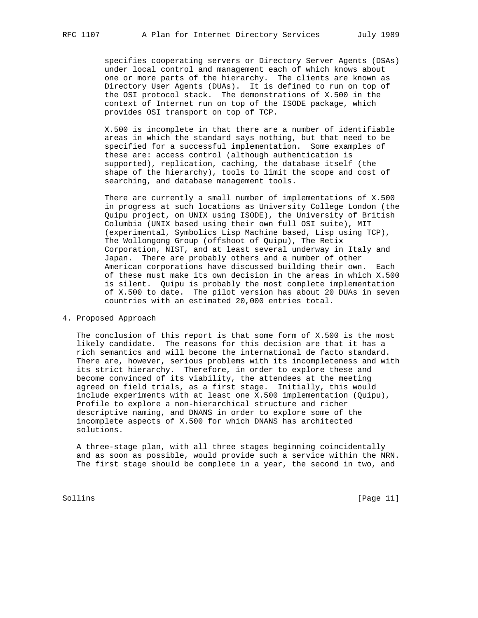specifies cooperating servers or Directory Server Agents (DSAs) under local control and management each of which knows about one or more parts of the hierarchy. The clients are known as Directory User Agents (DUAs). It is defined to run on top of the OSI protocol stack. The demonstrations of X.500 in the context of Internet run on top of the ISODE package, which provides OSI transport on top of TCP.

 X.500 is incomplete in that there are a number of identifiable areas in which the standard says nothing, but that need to be specified for a successful implementation. Some examples of these are: access control (although authentication is supported), replication, caching, the database itself (the shape of the hierarchy), tools to limit the scope and cost of searching, and database management tools.

 There are currently a small number of implementations of X.500 in progress at such locations as University College London (the Quipu project, on UNIX using ISODE), the University of British Columbia (UNIX based using their own full OSI suite), MIT (experimental, Symbolics Lisp Machine based, Lisp using TCP), The Wollongong Group (offshoot of Quipu), The Retix Corporation, NIST, and at least several underway in Italy and Japan. There are probably others and a number of other American corporations have discussed building their own. Each of these must make its own decision in the areas in which X.500 is silent. Quipu is probably the most complete implementation of X.500 to date. The pilot version has about 20 DUAs in seven countries with an estimated 20,000 entries total.

## 4. Proposed Approach

 The conclusion of this report is that some form of X.500 is the most likely candidate. The reasons for this decision are that it has a rich semantics and will become the international de facto standard. There are, however, serious problems with its incompleteness and with its strict hierarchy. Therefore, in order to explore these and become convinced of its viability, the attendees at the meeting agreed on field trials, as a first stage. Initially, this would include experiments with at least one X.500 implementation (Quipu), Profile to explore a non-hierarchical structure and richer descriptive naming, and DNANS in order to explore some of the incomplete aspects of X.500 for which DNANS has architected solutions.

 A three-stage plan, with all three stages beginning coincidentally and as soon as possible, would provide such a service within the NRN. The first stage should be complete in a year, the second in two, and

Sollins [Page 11]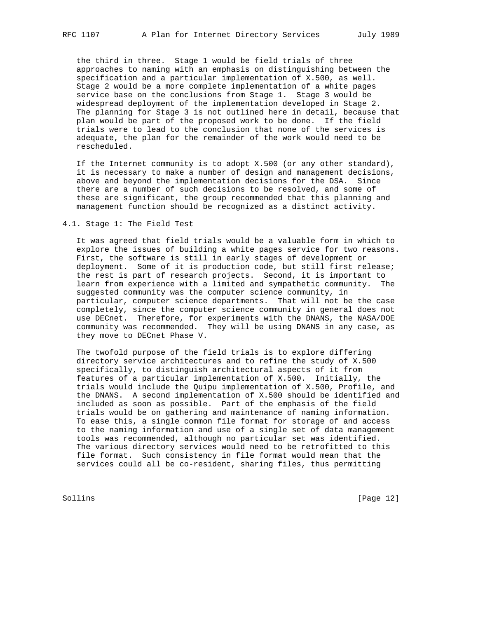the third in three. Stage 1 would be field trials of three approaches to naming with an emphasis on distinguishing between the specification and a particular implementation of X.500, as well. Stage 2 would be a more complete implementation of a white pages service base on the conclusions from Stage 1. Stage 3 would be widespread deployment of the implementation developed in Stage 2. The planning for Stage 3 is not outlined here in detail, because that plan would be part of the proposed work to be done. If the field trials were to lead to the conclusion that none of the services is adequate, the plan for the remainder of the work would need to be rescheduled.

 If the Internet community is to adopt X.500 (or any other standard), it is necessary to make a number of design and management decisions, above and beyond the implementation decisions for the DSA. Since there are a number of such decisions to be resolved, and some of these are significant, the group recommended that this planning and management function should be recognized as a distinct activity.

4.1. Stage 1: The Field Test

 It was agreed that field trials would be a valuable form in which to explore the issues of building a white pages service for two reasons. First, the software is still in early stages of development or deployment. Some of it is production code, but still first release; the rest is part of research projects. Second, it is important to learn from experience with a limited and sympathetic community. The suggested community was the computer science community, in particular, computer science departments. That will not be the case completely, since the computer science community in general does not use DECnet. Therefore, for experiments with the DNANS, the NASA/DOE community was recommended. They will be using DNANS in any case, as they move to DECnet Phase V.

 The twofold purpose of the field trials is to explore differing directory service architectures and to refine the study of X.500 specifically, to distinguish architectural aspects of it from features of a particular implementation of X.500. Initially, the trials would include the Quipu implementation of X.500, Profile, and the DNANS. A second implementation of X.500 should be identified and included as soon as possible. Part of the emphasis of the field trials would be on gathering and maintenance of naming information. To ease this, a single common file format for storage of and access to the naming information and use of a single set of data management tools was recommended, although no particular set was identified. The various directory services would need to be retrofitted to this file format. Such consistency in file format would mean that the services could all be co-resident, sharing files, thus permitting

Sollins [Page 12]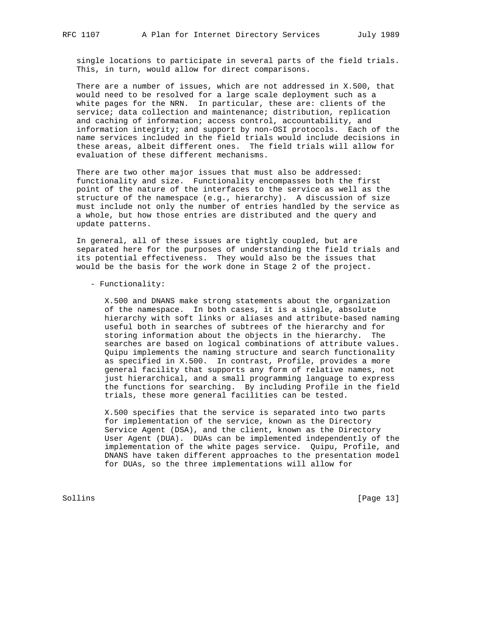single locations to participate in several parts of the field trials. This, in turn, would allow for direct comparisons.

 There are a number of issues, which are not addressed in X.500, that would need to be resolved for a large scale deployment such as a white pages for the NRN. In particular, these are: clients of the service; data collection and maintenance; distribution, replication and caching of information; access control, accountability, and information integrity; and support by non-OSI protocols. Each of the name services included in the field trials would include decisions in these areas, albeit different ones. The field trials will allow for evaluation of these different mechanisms.

 There are two other major issues that must also be addressed: functionality and size. Functionality encompasses both the first point of the nature of the interfaces to the service as well as the structure of the namespace (e.g., hierarchy). A discussion of size must include not only the number of entries handled by the service as a whole, but how those entries are distributed and the query and update patterns.

 In general, all of these issues are tightly coupled, but are separated here for the purposes of understanding the field trials and its potential effectiveness. They would also be the issues that would be the basis for the work done in Stage 2 of the project.

- Functionality:

 X.500 and DNANS make strong statements about the organization of the namespace. In both cases, it is a single, absolute hierarchy with soft links or aliases and attribute-based naming useful both in searches of subtrees of the hierarchy and for storing information about the objects in the hierarchy. The searches are based on logical combinations of attribute values. Quipu implements the naming structure and search functionality as specified in X.500. In contrast, Profile, provides a more general facility that supports any form of relative names, not just hierarchical, and a small programming language to express the functions for searching. By including Profile in the field trials, these more general facilities can be tested.

 X.500 specifies that the service is separated into two parts for implementation of the service, known as the Directory Service Agent (DSA), and the client, known as the Directory User Agent (DUA). DUAs can be implemented independently of the implementation of the white pages service. Quipu, Profile, and DNANS have taken different approaches to the presentation model for DUAs, so the three implementations will allow for

Sollins [Page 13]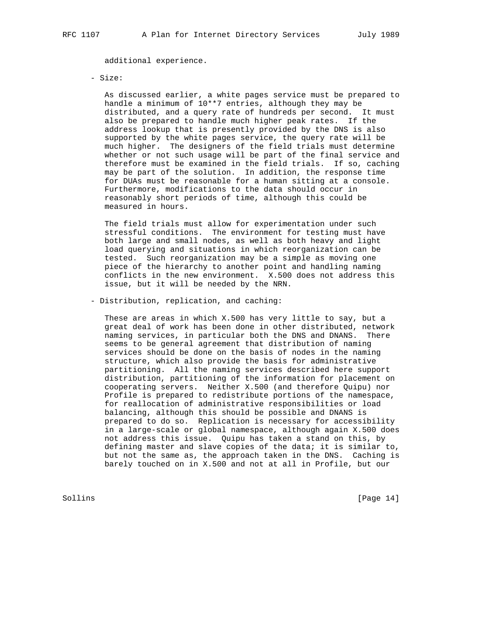additional experience.

#### - Size:

 As discussed earlier, a white pages service must be prepared to handle a minimum of 10\*\*7 entries, although they may be distributed, and a query rate of hundreds per second. It must also be prepared to handle much higher peak rates. If the address lookup that is presently provided by the DNS is also supported by the white pages service, the query rate will be much higher. The designers of the field trials must determine whether or not such usage will be part of the final service and therefore must be examined in the field trials. If so, caching may be part of the solution. In addition, the response time for DUAs must be reasonable for a human sitting at a console. Furthermore, modifications to the data should occur in reasonably short periods of time, although this could be measured in hours.

 The field trials must allow for experimentation under such stressful conditions. The environment for testing must have both large and small nodes, as well as both heavy and light load querying and situations in which reorganization can be tested. Such reorganization may be a simple as moving one piece of the hierarchy to another point and handling naming conflicts in the new environment. X.500 does not address this issue, but it will be needed by the NRN.

- Distribution, replication, and caching:

 These are areas in which X.500 has very little to say, but a great deal of work has been done in other distributed, network naming services, in particular both the DNS and DNANS. There seems to be general agreement that distribution of naming services should be done on the basis of nodes in the naming structure, which also provide the basis for administrative partitioning. All the naming services described here support distribution, partitioning of the information for placement on cooperating servers. Neither X.500 (and therefore Quipu) nor Profile is prepared to redistribute portions of the namespace, for reallocation of administrative responsibilities or load balancing, although this should be possible and DNANS is prepared to do so. Replication is necessary for accessibility in a large-scale or global namespace, although again X.500 does not address this issue. Quipu has taken a stand on this, by defining master and slave copies of the data; it is similar to, but not the same as, the approach taken in the DNS. Caching is barely touched on in X.500 and not at all in Profile, but our

Sollins [Page 14]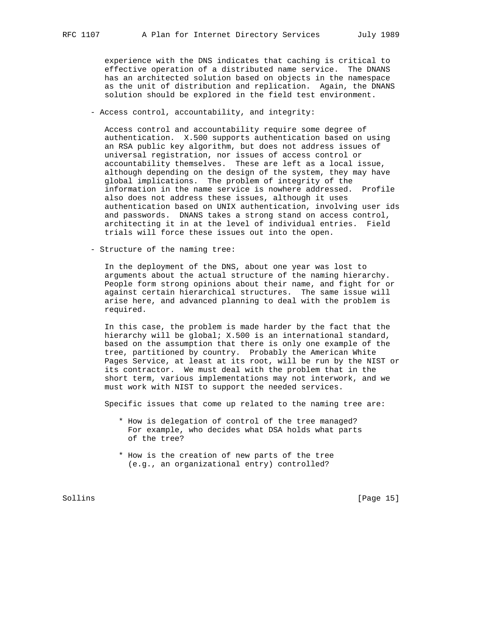experience with the DNS indicates that caching is critical to effective operation of a distributed name service. The DNANS has an architected solution based on objects in the namespace as the unit of distribution and replication. Again, the DNANS solution should be explored in the field test environment.

- Access control, accountability, and integrity:

 Access control and accountability require some degree of authentication. X.500 supports authentication based on using an RSA public key algorithm, but does not address issues of universal registration, nor issues of access control or accountability themselves. These are left as a local issue, although depending on the design of the system, they may have global implications. The problem of integrity of the information in the name service is nowhere addressed. Profile also does not address these issues, although it uses authentication based on UNIX authentication, involving user ids and passwords. DNANS takes a strong stand on access control, architecting it in at the level of individual entries. Field trials will force these issues out into the open.

- Structure of the naming tree:

 In the deployment of the DNS, about one year was lost to arguments about the actual structure of the naming hierarchy. People form strong opinions about their name, and fight for or against certain hierarchical structures. The same issue will arise here, and advanced planning to deal with the problem is required.

 In this case, the problem is made harder by the fact that the hierarchy will be global; X.500 is an international standard, based on the assumption that there is only one example of the tree, partitioned by country. Probably the American White Pages Service, at least at its root, will be run by the NIST or its contractor. We must deal with the problem that in the short term, various implementations may not interwork, and we must work with NIST to support the needed services.

Specific issues that come up related to the naming tree are:

- \* How is delegation of control of the tree managed? For example, who decides what DSA holds what parts of the tree?
- \* How is the creation of new parts of the tree (e.g., an organizational entry) controlled?

Sollins [Page 15]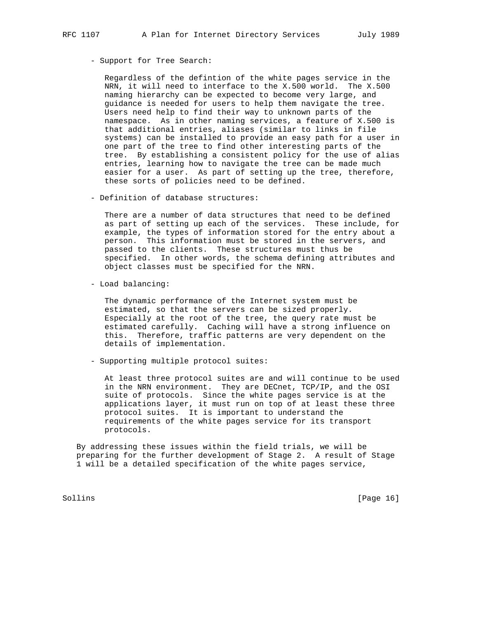- Support for Tree Search:

 Regardless of the defintion of the white pages service in the NRN, it will need to interface to the X.500 world. The X.500 naming hierarchy can be expected to become very large, and guidance is needed for users to help them navigate the tree. Users need help to find their way to unknown parts of the namespace. As in other naming services, a feature of X.500 is that additional entries, aliases (similar to links in file systems) can be installed to provide an easy path for a user in one part of the tree to find other interesting parts of the tree. By establishing a consistent policy for the use of alias entries, learning how to navigate the tree can be made much easier for a user. As part of setting up the tree, therefore, these sorts of policies need to be defined.

- Definition of database structures:

 There are a number of data structures that need to be defined as part of setting up each of the services. These include, for example, the types of information stored for the entry about a person. This information must be stored in the servers, and passed to the clients. These structures must thus be specified. In other words, the schema defining attributes and object classes must be specified for the NRN.

- Load balancing:

 The dynamic performance of the Internet system must be estimated, so that the servers can be sized properly. Especially at the root of the tree, the query rate must be estimated carefully. Caching will have a strong influence on this. Therefore, traffic patterns are very dependent on the details of implementation.

- Supporting multiple protocol suites:

 At least three protocol suites are and will continue to be used in the NRN environment. They are DECnet, TCP/IP, and the OSI suite of protocols. Since the white pages service is at the applications layer, it must run on top of at least these three protocol suites. It is important to understand the requirements of the white pages service for its transport protocols.

 By addressing these issues within the field trials, we will be preparing for the further development of Stage 2. A result of Stage 1 will be a detailed specification of the white pages service,

Sollins [Page 16]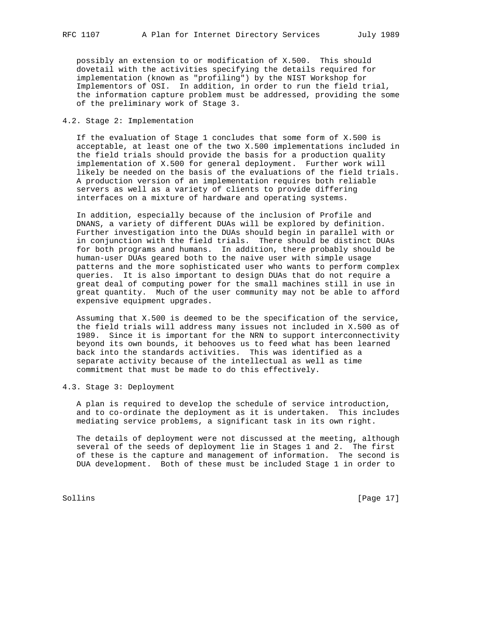possibly an extension to or modification of X.500. This should dovetail with the activities specifying the details required for implementation (known as "profiling") by the NIST Workshop for Implementors of OSI. In addition, in order to run the field trial, the information capture problem must be addressed, providing the some of the preliminary work of Stage 3.

## 4.2. Stage 2: Implementation

 If the evaluation of Stage 1 concludes that some form of X.500 is acceptable, at least one of the two X.500 implementations included in the field trials should provide the basis for a production quality implementation of X.500 for general deployment. Further work will likely be needed on the basis of the evaluations of the field trials. A production version of an implementation requires both reliable servers as well as a variety of clients to provide differing interfaces on a mixture of hardware and operating systems.

 In addition, especially because of the inclusion of Profile and DNANS, a variety of different DUAs will be explored by definition. Further investigation into the DUAs should begin in parallel with or in conjunction with the field trials. There should be distinct DUAs for both programs and humans. In addition, there probably should be human-user DUAs geared both to the naive user with simple usage patterns and the more sophisticated user who wants to perform complex queries. It is also important to design DUAs that do not require a great deal of computing power for the small machines still in use in great quantity. Much of the user community may not be able to afford expensive equipment upgrades.

 Assuming that X.500 is deemed to be the specification of the service, the field trials will address many issues not included in X.500 as of 1989. Since it is important for the NRN to support interconnectivity beyond its own bounds, it behooves us to feed what has been learned back into the standards activities. This was identified as a separate activity because of the intellectual as well as time commitment that must be made to do this effectively.

4.3. Stage 3: Deployment

 A plan is required to develop the schedule of service introduction, and to co-ordinate the deployment as it is undertaken. This includes mediating service problems, a significant task in its own right.

 The details of deployment were not discussed at the meeting, although several of the seeds of deployment lie in Stages 1 and 2. The first of these is the capture and management of information. The second is DUA development. Both of these must be included Stage 1 in order to

Sollins [Page 17]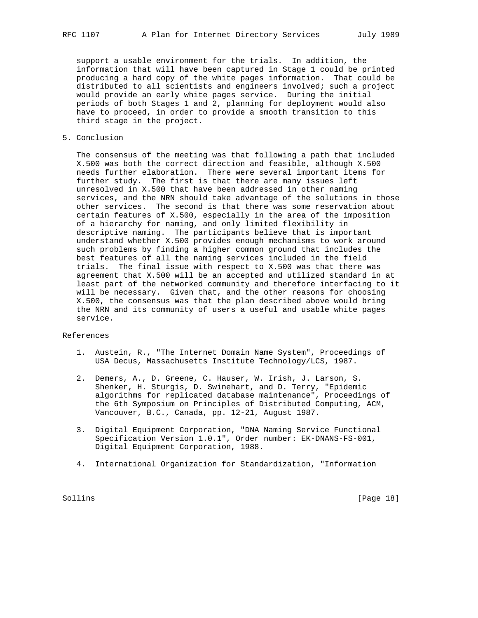support a usable environment for the trials. In addition, the information that will have been captured in Stage 1 could be printed producing a hard copy of the white pages information. That could be distributed to all scientists and engineers involved; such a project would provide an early white pages service. During the initial periods of both Stages 1 and 2, planning for deployment would also have to proceed, in order to provide a smooth transition to this third stage in the project.

5. Conclusion

 The consensus of the meeting was that following a path that included X.500 was both the correct direction and feasible, although X.500 needs further elaboration. There were several important items for further study. The first is that there are many issues left unresolved in X.500 that have been addressed in other naming services, and the NRN should take advantage of the solutions in those other services. The second is that there was some reservation about certain features of X.500, especially in the area of the imposition of a hierarchy for naming, and only limited flexibility in descriptive naming. The participants believe that is important understand whether X.500 provides enough mechanisms to work around such problems by finding a higher common ground that includes the best features of all the naming services included in the field trials. The final issue with respect to X.500 was that there was agreement that X.500 will be an accepted and utilized standard in at least part of the networked community and therefore interfacing to it will be necessary. Given that, and the other reasons for choosing X.500, the consensus was that the plan described above would bring the NRN and its community of users a useful and usable white pages service.

## References

- 1. Austein, R., "The Internet Domain Name System", Proceedings of USA Decus, Massachusetts Institute Technology/LCS, 1987.
- 2. Demers, A., D. Greene, C. Hauser, W. Irish, J. Larson, S. Shenker, H. Sturgis, D. Swinehart, and D. Terry, "Epidemic algorithms for replicated database maintenance", Proceedings of the 6th Symposium on Principles of Distributed Computing, ACM, Vancouver, B.C., Canada, pp. 12-21, August 1987.
- 3. Digital Equipment Corporation, "DNA Naming Service Functional Specification Version 1.0.1", Order number: EK-DNANS-FS-001, Digital Equipment Corporation, 1988.
- 4. International Organization for Standardization, "Information

Sollins [Page 18]